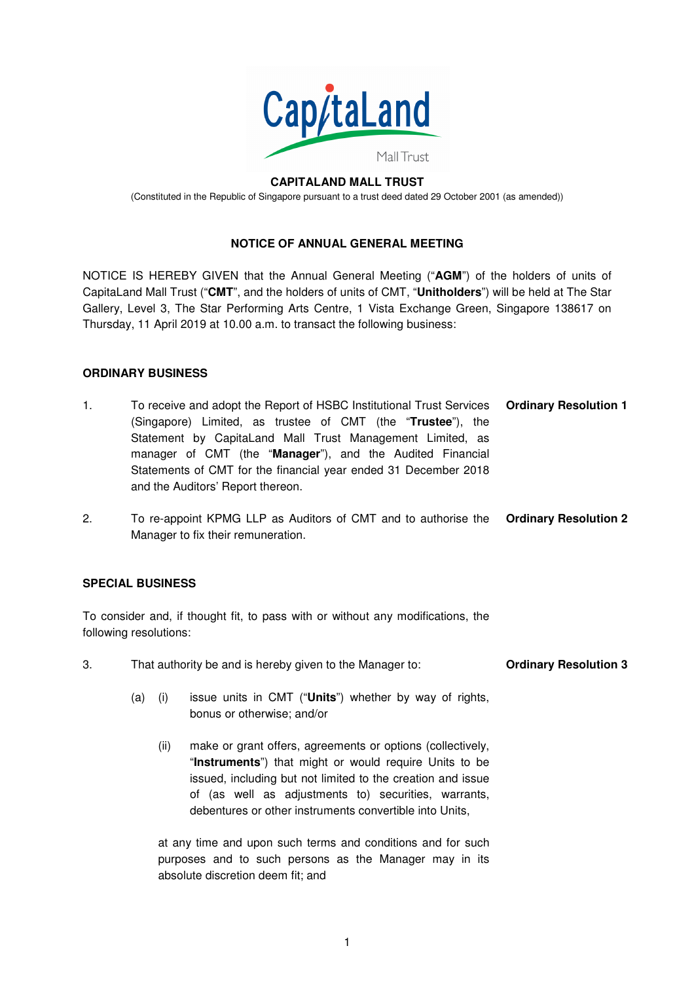

#### **CAPITALAND MALL TRUST**  (Constituted in the Republic of Singapore pursuant to a trust deed dated 29 October 2001 (as amended))

# **NOTICE OF ANNUAL GENERAL MEETING**

NOTICE IS HEREBY GIVEN that the Annual General Meeting ("**AGM**") of the holders of units of CapitaLand Mall Trust ("**CMT**", and the holders of units of CMT, "**Unitholders**") will be held at The Star Gallery, Level 3, The Star Performing Arts Centre, 1 Vista Exchange Green, Singapore 138617 on Thursday, 11 April 2019 at 10.00 a.m. to transact the following business:

# **ORDINARY BUSINESS**

| 1. | To receive and adopt the Report of HSBC Institutional Trust Services <b>Ordinary Resolution 1</b> |  |
|----|---------------------------------------------------------------------------------------------------|--|
|    | (Singapore) Limited, as trustee of CMT (the "Trustee"), the                                       |  |
|    | Statement by CapitaLand Mall Trust Management Limited, as                                         |  |
|    | manager of CMT (the "Manager"), and the Audited Financial                                         |  |
|    | Statements of CMT for the financial year ended 31 December 2018                                   |  |
|    | and the Auditors' Report thereon.                                                                 |  |

2. To re-appoint KPMG LLP as Auditors of CMT and to authorise the **Ordinary Resolution 2**  Manager to fix their remuneration.

# **SPECIAL BUSINESS**

To consider and, if thought fit, to pass with or without any modifications, the following resolutions:

- 3. That authority be and is hereby given to the Manager to: **Ordinary Resolution 3** 
	- (a) (i) issue units in CMT ("**Units**") whether by way of rights, bonus or otherwise; and/or
		- (ii) make or grant offers, agreements or options (collectively, "**Instruments**") that might or would require Units to be issued, including but not limited to the creation and issue of (as well as adjustments to) securities, warrants, debentures or other instruments convertible into Units,

 at any time and upon such terms and conditions and for such purposes and to such persons as the Manager may in its absolute discretion deem fit; and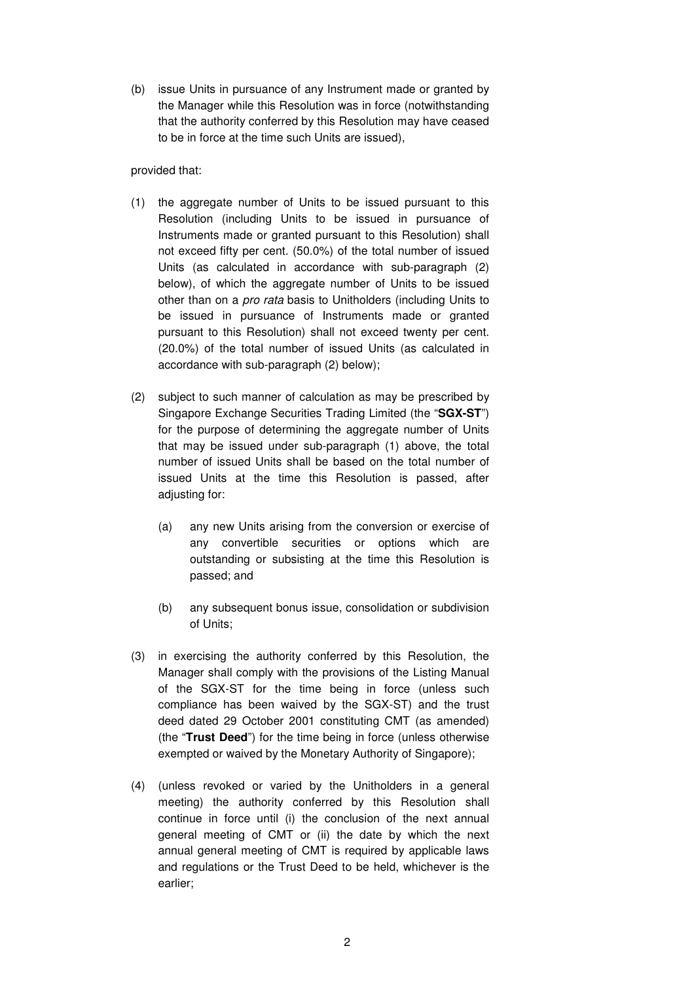(b) issue Units in pursuance of any Instrument made or granted by the Manager while this Resolution was in force (notwithstanding that the authority conferred by this Resolution may have ceased to be in force at the time such Units are issued),

provided that:

- (1) the aggregate number of Units to be issued pursuant to this Resolution (including Units to be issued in pursuance of Instruments made or granted pursuant to this Resolution) shall not exceed fifty per cent. (50.0%) of the total number of issued Units (as calculated in accordance with sub-paragraph (2) below), of which the aggregate number of Units to be issued other than on a pro rata basis to Unitholders (including Units to be issued in pursuance of Instruments made or granted pursuant to this Resolution) shall not exceed twenty per cent. (20.0%) of the total number of issued Units (as calculated in accordance with sub-paragraph (2) below);
- (2) subject to such manner of calculation as may be prescribed by Singapore Exchange Securities Trading Limited (the "**SGX-ST**") for the purpose of determining the aggregate number of Units that may be issued under sub-paragraph (1) above, the total number of issued Units shall be based on the total number of issued Units at the time this Resolution is passed, after adjusting for:
	- (a) any new Units arising from the conversion or exercise of any convertible securities or options which are outstanding or subsisting at the time this Resolution is passed; and
	- (b) any subsequent bonus issue, consolidation or subdivision of Units;
- (3) in exercising the authority conferred by this Resolution, the Manager shall comply with the provisions of the Listing Manual of the SGX-ST for the time being in force (unless such compliance has been waived by the SGX-ST) and the trust deed dated 29 October 2001 constituting CMT (as amended) (the "**Trust Deed**") for the time being in force (unless otherwise exempted or waived by the Monetary Authority of Singapore);
- (4) (unless revoked or varied by the Unitholders in a general meeting) the authority conferred by this Resolution shall continue in force until (i) the conclusion of the next annual general meeting of CMT or (ii) the date by which the next annual general meeting of CMT is required by applicable laws and regulations or the Trust Deed to be held, whichever is the earlier;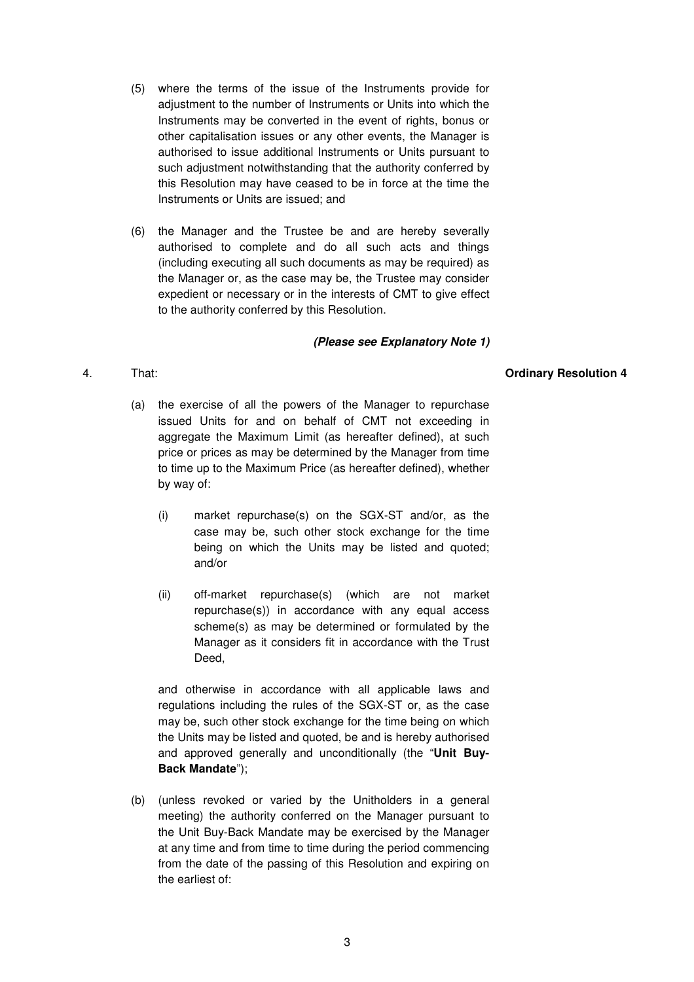- (5) where the terms of the issue of the Instruments provide for adjustment to the number of Instruments or Units into which the Instruments may be converted in the event of rights, bonus or other capitalisation issues or any other events, the Manager is authorised to issue additional Instruments or Units pursuant to such adjustment notwithstanding that the authority conferred by this Resolution may have ceased to be in force at the time the Instruments or Units are issued; and
- (6) the Manager and the Trustee be and are hereby severally authorised to complete and do all such acts and things (including executing all such documents as may be required) as the Manager or, as the case may be, the Trustee may consider expedient or necessary or in the interests of CMT to give effect to the authority conferred by this Resolution.

#### **(Please see Explanatory Note 1)**

#### 4. That: **Ordinary Resolution 4**

- (a) the exercise of all the powers of the Manager to repurchase issued Units for and on behalf of CMT not exceeding in aggregate the Maximum Limit (as hereafter defined), at such price or prices as may be determined by the Manager from time to time up to the Maximum Price (as hereafter defined), whether by way of:
	- (i) market repurchase(s) on the SGX-ST and/or, as the case may be, such other stock exchange for the time being on which the Units may be listed and quoted; and/or
	- (ii) off-market repurchase(s) (which are not market repurchase(s)) in accordance with any equal access scheme(s) as may be determined or formulated by the Manager as it considers fit in accordance with the Trust Deed,

 and otherwise in accordance with all applicable laws and regulations including the rules of the SGX-ST or, as the case may be, such other stock exchange for the time being on which the Units may be listed and quoted, be and is hereby authorised and approved generally and unconditionally (the "**Unit Buy-Back Mandate**");

 (b) (unless revoked or varied by the Unitholders in a general meeting) the authority conferred on the Manager pursuant to the Unit Buy-Back Mandate may be exercised by the Manager at any time and from time to time during the period commencing from the date of the passing of this Resolution and expiring on the earliest of: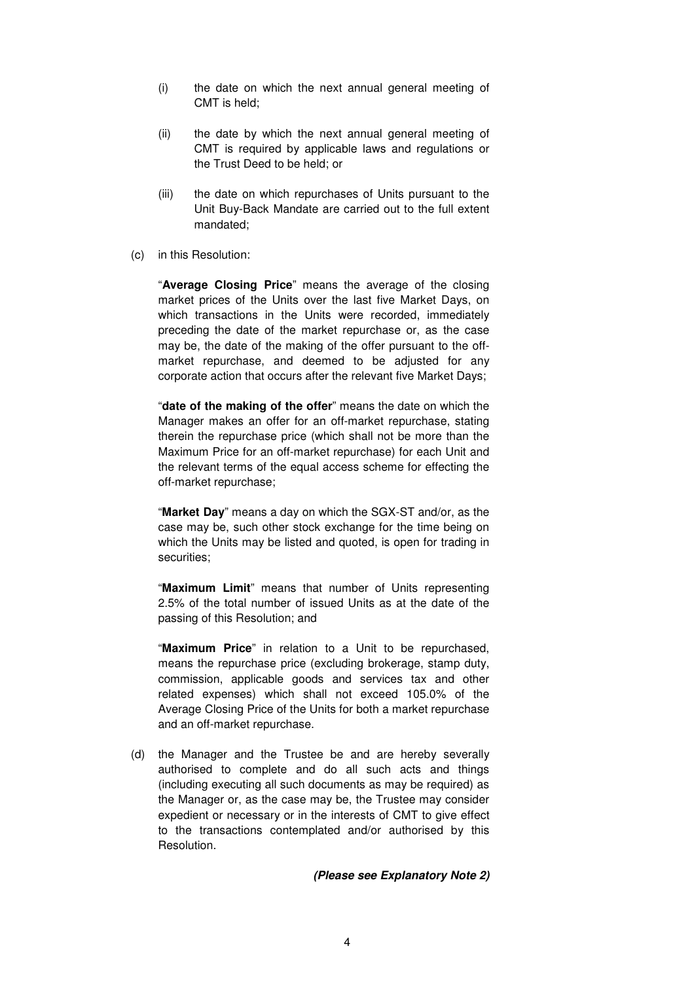- (i) the date on which the next annual general meeting of CMT is held;
- (ii) the date by which the next annual general meeting of CMT is required by applicable laws and regulations or the Trust Deed to be held; or
- (iii) the date on which repurchases of Units pursuant to the Unit Buy-Back Mandate are carried out to the full extent mandated;
- (c) in this Resolution:

 "**Average Closing Price**" means the average of the closing market prices of the Units over the last five Market Days, on which transactions in the Units were recorded, immediately preceding the date of the market repurchase or, as the case may be, the date of the making of the offer pursuant to the offmarket repurchase, and deemed to be adjusted for any corporate action that occurs after the relevant five Market Days;

 "**date of the making of the offer**" means the date on which the Manager makes an offer for an off-market repurchase, stating therein the repurchase price (which shall not be more than the Maximum Price for an off-market repurchase) for each Unit and the relevant terms of the equal access scheme for effecting the off-market repurchase;

 "**Market Day**" means a day on which the SGX-ST and/or, as the case may be, such other stock exchange for the time being on which the Units may be listed and quoted, is open for trading in securities;

 "**Maximum Limit**" means that number of Units representing 2.5% of the total number of issued Units as at the date of the passing of this Resolution; and

 "**Maximum Price**" in relation to a Unit to be repurchased, means the repurchase price (excluding brokerage, stamp duty, commission, applicable goods and services tax and other related expenses) which shall not exceed 105.0% of the Average Closing Price of the Units for both a market repurchase and an off-market repurchase.

 (d) the Manager and the Trustee be and are hereby severally authorised to complete and do all such acts and things (including executing all such documents as may be required) as the Manager or, as the case may be, the Trustee may consider expedient or necessary or in the interests of CMT to give effect to the transactions contemplated and/or authorised by this Resolution.

#### **(Please see Explanatory Note 2)**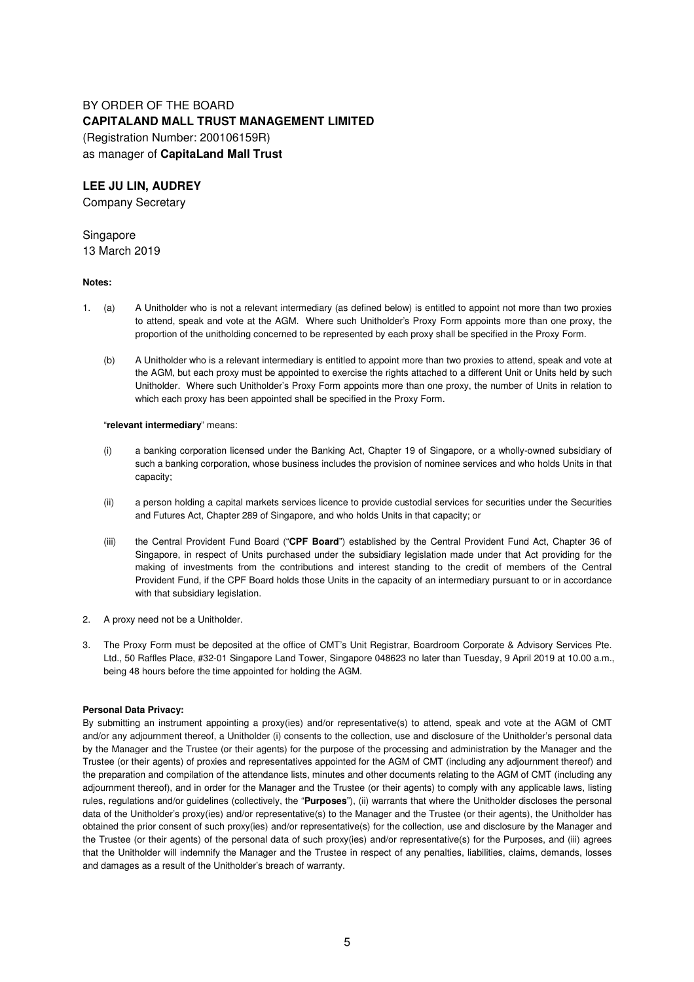# BY ORDER OF THE BOARD **CAPITALAND MALL TRUST MANAGEMENT LIMITED**  (Registration Number: 200106159R) as manager of **CapitaLand Mall Trust**

#### **LEE JU LIN, AUDREY**

Company Secretary

### **Singapore**

13 March 2019

#### **Notes:**

- 1. (a) A Unitholder who is not a relevant intermediary (as defined below) is entitled to appoint not more than two proxies to attend, speak and vote at the AGM. Where such Unitholder's Proxy Form appoints more than one proxy, the proportion of the unitholding concerned to be represented by each proxy shall be specified in the Proxy Form.
	- (b) A Unitholder who is a relevant intermediary is entitled to appoint more than two proxies to attend, speak and vote at the AGM, but each proxy must be appointed to exercise the rights attached to a different Unit or Units held by such Unitholder. Where such Unitholder's Proxy Form appoints more than one proxy, the number of Units in relation to which each proxy has been appointed shall be specified in the Proxy Form.

#### "**relevant intermediary**" means:

- (i) a banking corporation licensed under the Banking Act, Chapter 19 of Singapore, or a wholly-owned subsidiary of such a banking corporation, whose business includes the provision of nominee services and who holds Units in that capacity;
- (ii) a person holding a capital markets services licence to provide custodial services for securities under the Securities and Futures Act, Chapter 289 of Singapore, and who holds Units in that capacity; or
- (iii) the Central Provident Fund Board ("**CPF Board**") established by the Central Provident Fund Act, Chapter 36 of Singapore, in respect of Units purchased under the subsidiary legislation made under that Act providing for the making of investments from the contributions and interest standing to the credit of members of the Central Provident Fund, if the CPF Board holds those Units in the capacity of an intermediary pursuant to or in accordance with that subsidiary legislation.
- 2. A proxy need not be a Unitholder.
- 3. The Proxy Form must be deposited at the office of CMT's Unit Registrar, Boardroom Corporate & Advisory Services Pte. Ltd., 50 Raffles Place, #32-01 Singapore Land Tower, Singapore 048623 no later than Tuesday, 9 April 2019 at 10.00 a.m., being 48 hours before the time appointed for holding the AGM.

#### **Personal Data Privacy:**

By submitting an instrument appointing a proxy(ies) and/or representative(s) to attend, speak and vote at the AGM of CMT and/or any adjournment thereof, a Unitholder (i) consents to the collection, use and disclosure of the Unitholder's personal data by the Manager and the Trustee (or their agents) for the purpose of the processing and administration by the Manager and the Trustee (or their agents) of proxies and representatives appointed for the AGM of CMT (including any adjournment thereof) and the preparation and compilation of the attendance lists, minutes and other documents relating to the AGM of CMT (including any adjournment thereof), and in order for the Manager and the Trustee (or their agents) to comply with any applicable laws, listing rules, regulations and/or guidelines (collectively, the "**Purposes**"), (ii) warrants that where the Unitholder discloses the personal data of the Unitholder's proxy(ies) and/or representative(s) to the Manager and the Trustee (or their agents), the Unitholder has obtained the prior consent of such proxy(ies) and/or representative(s) for the collection, use and disclosure by the Manager and the Trustee (or their agents) of the personal data of such proxy(ies) and/or representative(s) for the Purposes, and (iii) agrees that the Unitholder will indemnify the Manager and the Trustee in respect of any penalties, liabilities, claims, demands, losses and damages as a result of the Unitholder's breach of warranty.